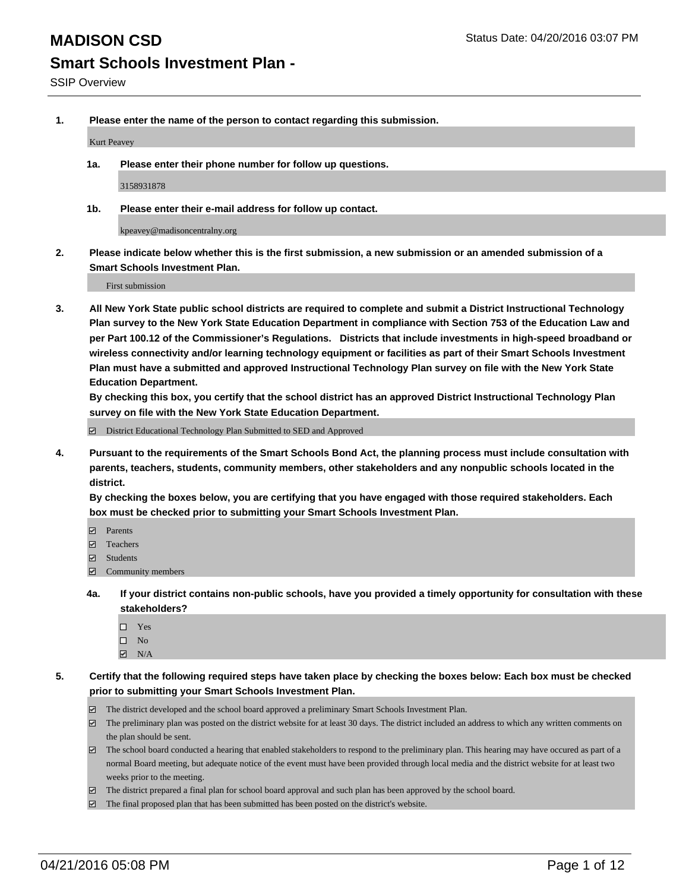**1. Please enter the name of the person to contact regarding this submission.**

Kurt Peavey

**1a. Please enter their phone number for follow up questions.**

3158931878

**1b. Please enter their e-mail address for follow up contact.**

kpeavey@madisoncentralny.org

**2. Please indicate below whether this is the first submission, a new submission or an amended submission of a Smart Schools Investment Plan.**

First submission

**3. All New York State public school districts are required to complete and submit a District Instructional Technology Plan survey to the New York State Education Department in compliance with Section 753 of the Education Law and per Part 100.12 of the Commissioner's Regulations. Districts that include investments in high-speed broadband or wireless connectivity and/or learning technology equipment or facilities as part of their Smart Schools Investment Plan must have a submitted and approved Instructional Technology Plan survey on file with the New York State Education Department.** 

**By checking this box, you certify that the school district has an approved District Instructional Technology Plan survey on file with the New York State Education Department.**

■ District Educational Technology Plan Submitted to SED and Approved

**4. Pursuant to the requirements of the Smart Schools Bond Act, the planning process must include consultation with parents, teachers, students, community members, other stakeholders and any nonpublic schools located in the district.** 

**By checking the boxes below, you are certifying that you have engaged with those required stakeholders. Each box must be checked prior to submitting your Smart Schools Investment Plan.**

- **Parents**
- □ Teachers
- Students
- $\boxdot$  Community members
- **4a. If your district contains non-public schools, have you provided a timely opportunity for consultation with these stakeholders?**
	- □ Yes
	- $\square$  No
	- $\boxtimes$  N/A
- **5. Certify that the following required steps have taken place by checking the boxes below: Each box must be checked prior to submitting your Smart Schools Investment Plan.**
	- The district developed and the school board approved a preliminary Smart Schools Investment Plan.
	- The preliminary plan was posted on the district website for at least 30 days. The district included an address to which any written comments on the plan should be sent.
	- $\Box$  The school board conducted a hearing that enabled stakeholders to respond to the preliminary plan. This hearing may have occured as part of a normal Board meeting, but adequate notice of the event must have been provided through local media and the district website for at least two weeks prior to the meeting.
	- The district prepared a final plan for school board approval and such plan has been approved by the school board.
	- The final proposed plan that has been submitted has been posted on the district's website.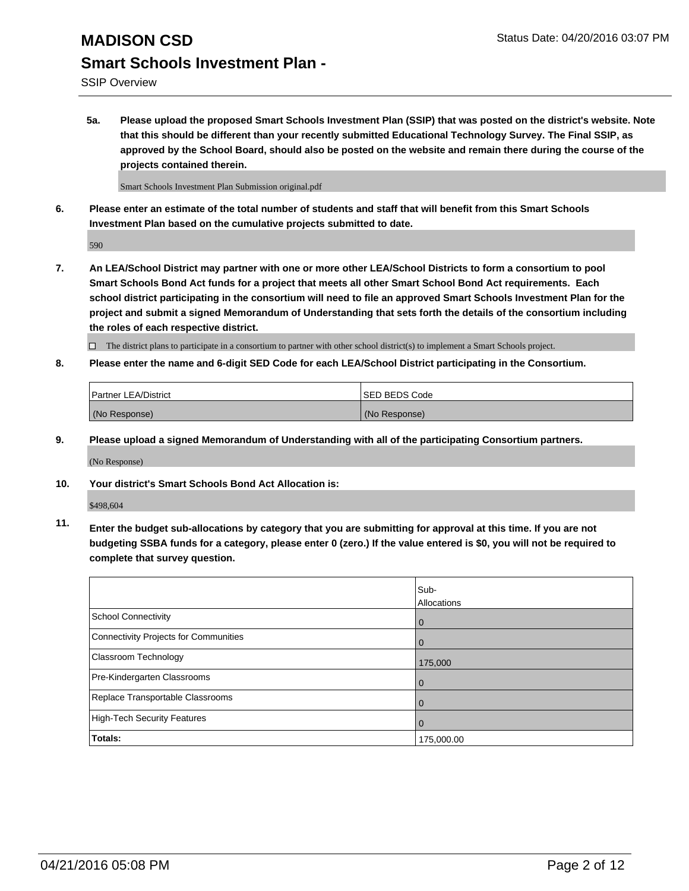SSIP Overview

**5a. Please upload the proposed Smart Schools Investment Plan (SSIP) that was posted on the district's website. Note that this should be different than your recently submitted Educational Technology Survey. The Final SSIP, as approved by the School Board, should also be posted on the website and remain there during the course of the projects contained therein.**

Smart Schools Investment Plan Submission original.pdf

**6. Please enter an estimate of the total number of students and staff that will benefit from this Smart Schools Investment Plan based on the cumulative projects submitted to date.**

590

**7. An LEA/School District may partner with one or more other LEA/School Districts to form a consortium to pool Smart Schools Bond Act funds for a project that meets all other Smart School Bond Act requirements. Each school district participating in the consortium will need to file an approved Smart Schools Investment Plan for the project and submit a signed Memorandum of Understanding that sets forth the details of the consortium including the roles of each respective district.**

 $\Box$  The district plans to participate in a consortium to partner with other school district(s) to implement a Smart Schools project.

**8. Please enter the name and 6-digit SED Code for each LEA/School District participating in the Consortium.**

| <b>Partner LEA/District</b> | <b>ISED BEDS Code</b> |
|-----------------------------|-----------------------|
| (No Response)               | (No Response)         |

**9. Please upload a signed Memorandum of Understanding with all of the participating Consortium partners.**

(No Response)

**10. Your district's Smart Schools Bond Act Allocation is:**

\$498,604

**11. Enter the budget sub-allocations by category that you are submitting for approval at this time. If you are not budgeting SSBA funds for a category, please enter 0 (zero.) If the value entered is \$0, you will not be required to complete that survey question.**

|                                       | Sub-<br>Allocations |
|---------------------------------------|---------------------|
| <b>School Connectivity</b>            | 0                   |
| Connectivity Projects for Communities | 0                   |
| <b>Classroom Technology</b>           | 175,000             |
| Pre-Kindergarten Classrooms           | $\Omega$            |
| Replace Transportable Classrooms      | $\Omega$            |
| High-Tech Security Features           | 0                   |
| Totals:                               | 175,000.00          |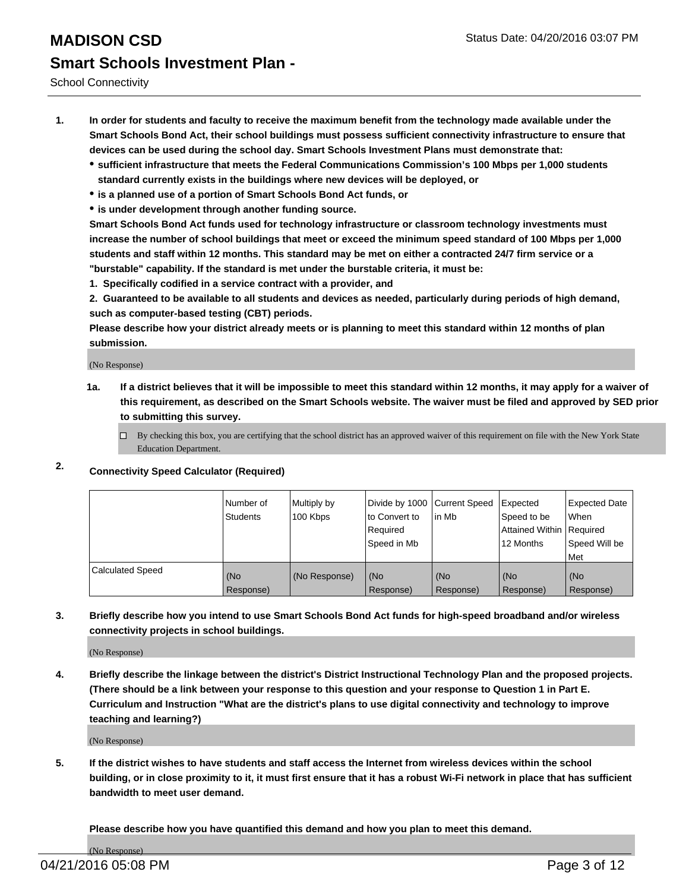School Connectivity

- **1. In order for students and faculty to receive the maximum benefit from the technology made available under the Smart Schools Bond Act, their school buildings must possess sufficient connectivity infrastructure to ensure that devices can be used during the school day. Smart Schools Investment Plans must demonstrate that:**
	- **sufficient infrastructure that meets the Federal Communications Commission's 100 Mbps per 1,000 students standard currently exists in the buildings where new devices will be deployed, or**
	- **is a planned use of a portion of Smart Schools Bond Act funds, or**
	- **is under development through another funding source.**

**Smart Schools Bond Act funds used for technology infrastructure or classroom technology investments must increase the number of school buildings that meet or exceed the minimum speed standard of 100 Mbps per 1,000 students and staff within 12 months. This standard may be met on either a contracted 24/7 firm service or a "burstable" capability. If the standard is met under the burstable criteria, it must be:**

**1. Specifically codified in a service contract with a provider, and**

**2. Guaranteed to be available to all students and devices as needed, particularly during periods of high demand, such as computer-based testing (CBT) periods.**

**Please describe how your district already meets or is planning to meet this standard within 12 months of plan submission.**

(No Response)

- **1a. If a district believes that it will be impossible to meet this standard within 12 months, it may apply for a waiver of this requirement, as described on the Smart Schools website. The waiver must be filed and approved by SED prior to submitting this survey.**
	- □ By checking this box, you are certifying that the school district has an approved waiver of this requirement on file with the New York State Education Department.
- **2. Connectivity Speed Calculator (Required)**

|                         | Number of<br>Students | Multiply by<br>100 Kbps | Divide by 1000 Current Speed<br>to Convert to<br>Reauired<br>Speed in Mb | lin Mb             | Expected<br>Speed to be<br>Attained Within   Required<br>12 Months | <b>Expected Date</b><br>l When<br>Speed Will be<br>l Met |
|-------------------------|-----------------------|-------------------------|--------------------------------------------------------------------------|--------------------|--------------------------------------------------------------------|----------------------------------------------------------|
| <b>Calculated Speed</b> | (No<br>Response)      | (No Response)           | (No<br>Response)                                                         | l (No<br>Response) | (No<br>Response)                                                   | l (No<br>Response)                                       |

#### **3. Briefly describe how you intend to use Smart Schools Bond Act funds for high-speed broadband and/or wireless connectivity projects in school buildings.**

(No Response)

**4. Briefly describe the linkage between the district's District Instructional Technology Plan and the proposed projects. (There should be a link between your response to this question and your response to Question 1 in Part E. Curriculum and Instruction "What are the district's plans to use digital connectivity and technology to improve teaching and learning?)**

(No Response)

**5. If the district wishes to have students and staff access the Internet from wireless devices within the school building, or in close proximity to it, it must first ensure that it has a robust Wi-Fi network in place that has sufficient bandwidth to meet user demand.**

**Please describe how you have quantified this demand and how you plan to meet this demand.**

(No Response)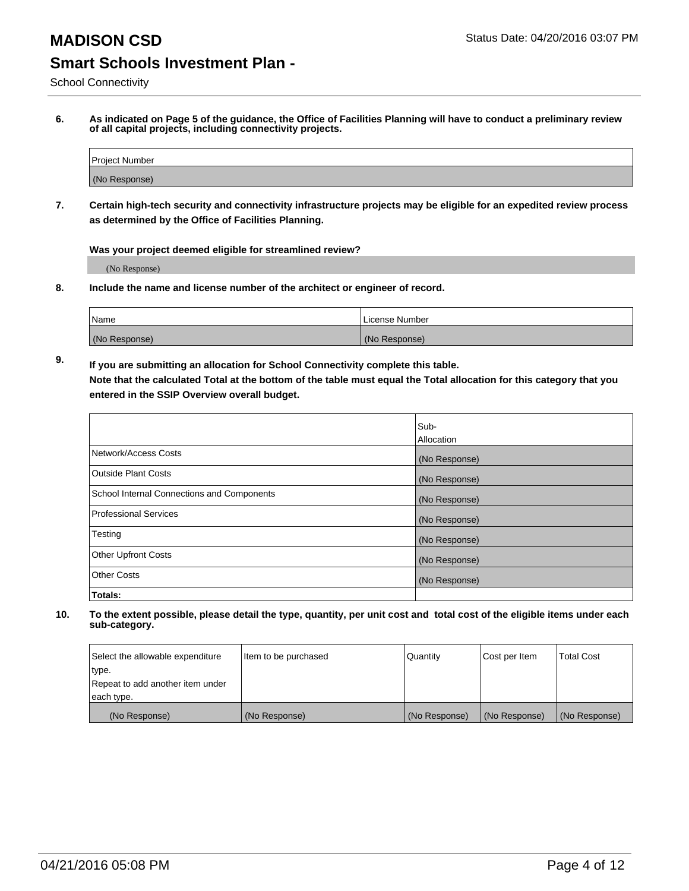School Connectivity

**6. As indicated on Page 5 of the guidance, the Office of Facilities Planning will have to conduct a preliminary review of all capital projects, including connectivity projects.**

| Project Number |  |
|----------------|--|
| (No Response)  |  |

**7. Certain high-tech security and connectivity infrastructure projects may be eligible for an expedited review process as determined by the Office of Facilities Planning.**

**Was your project deemed eligible for streamlined review?**

(No Response)

**8. Include the name and license number of the architect or engineer of record.**

| <sup>1</sup> Name | l License Number |
|-------------------|------------------|
| (No Response)     | (No Response)    |

**9. If you are submitting an allocation for School Connectivity complete this table. Note that the calculated Total at the bottom of the table must equal the Total allocation for this category that you entered in the SSIP Overview overall budget.** 

|                                            | Sub-              |
|--------------------------------------------|-------------------|
|                                            | <b>Allocation</b> |
| Network/Access Costs                       | (No Response)     |
| <b>Outside Plant Costs</b>                 | (No Response)     |
| School Internal Connections and Components | (No Response)     |
| <b>Professional Services</b>               | (No Response)     |
| Testing                                    | (No Response)     |
| <b>Other Upfront Costs</b>                 | (No Response)     |
| <b>Other Costs</b>                         | (No Response)     |
| Totals:                                    |                   |

| Select the allowable expenditure | Item to be purchased | Quantity      | Cost per Item | Total Cost    |
|----------------------------------|----------------------|---------------|---------------|---------------|
| type.                            |                      |               |               |               |
| Repeat to add another item under |                      |               |               |               |
| each type.                       |                      |               |               |               |
| (No Response)                    | (No Response)        | (No Response) | (No Response) | (No Response) |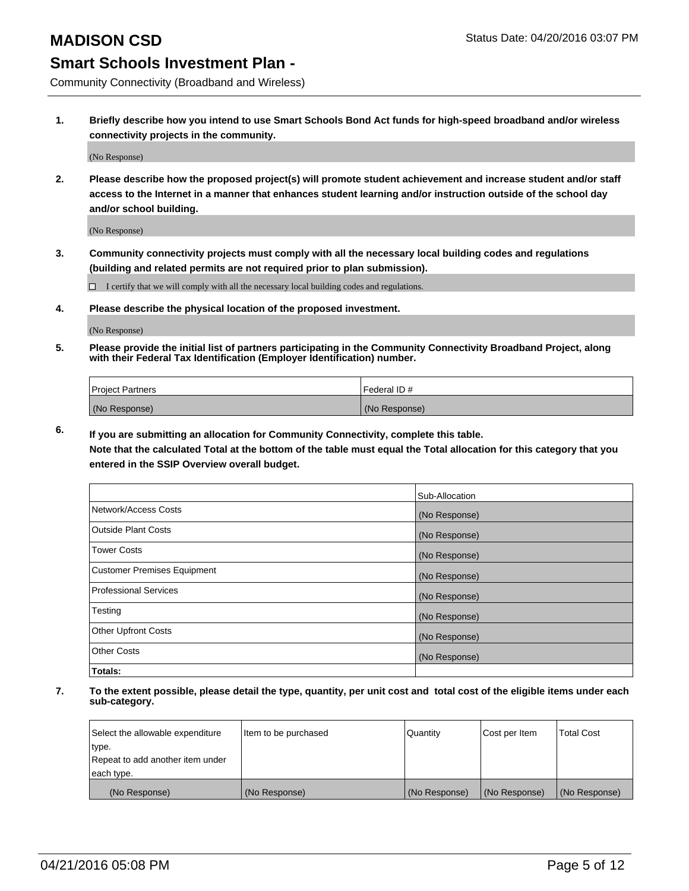Community Connectivity (Broadband and Wireless)

**1. Briefly describe how you intend to use Smart Schools Bond Act funds for high-speed broadband and/or wireless connectivity projects in the community.**

(No Response)

**2. Please describe how the proposed project(s) will promote student achievement and increase student and/or staff access to the Internet in a manner that enhances student learning and/or instruction outside of the school day and/or school building.**

(No Response)

**3. Community connectivity projects must comply with all the necessary local building codes and regulations (building and related permits are not required prior to plan submission).**

 $\Box$  I certify that we will comply with all the necessary local building codes and regulations.

**4. Please describe the physical location of the proposed investment.**

(No Response)

**5. Please provide the initial list of partners participating in the Community Connectivity Broadband Project, along with their Federal Tax Identification (Employer Identification) number.**

| <b>Project Partners</b> | <b>IFederal ID#</b> |
|-------------------------|---------------------|
| (No Response)           | (No Response)       |

**6. If you are submitting an allocation for Community Connectivity, complete this table.**

**Note that the calculated Total at the bottom of the table must equal the Total allocation for this category that you entered in the SSIP Overview overall budget.**

|                                    | Sub-Allocation |
|------------------------------------|----------------|
| Network/Access Costs               | (No Response)  |
| Outside Plant Costs                | (No Response)  |
| <b>Tower Costs</b>                 | (No Response)  |
| <b>Customer Premises Equipment</b> | (No Response)  |
| Professional Services              | (No Response)  |
| Testing                            | (No Response)  |
| <b>Other Upfront Costs</b>         | (No Response)  |
| <b>Other Costs</b>                 | (No Response)  |
| Totals:                            |                |

| Select the allowable expenditure | litem to be purchased | Quantity      | Cost per Item | <b>Total Cost</b> |
|----------------------------------|-----------------------|---------------|---------------|-------------------|
| type.                            |                       |               |               |                   |
| Repeat to add another item under |                       |               |               |                   |
| each type.                       |                       |               |               |                   |
| (No Response)                    | (No Response)         | (No Response) | (No Response) | (No Response)     |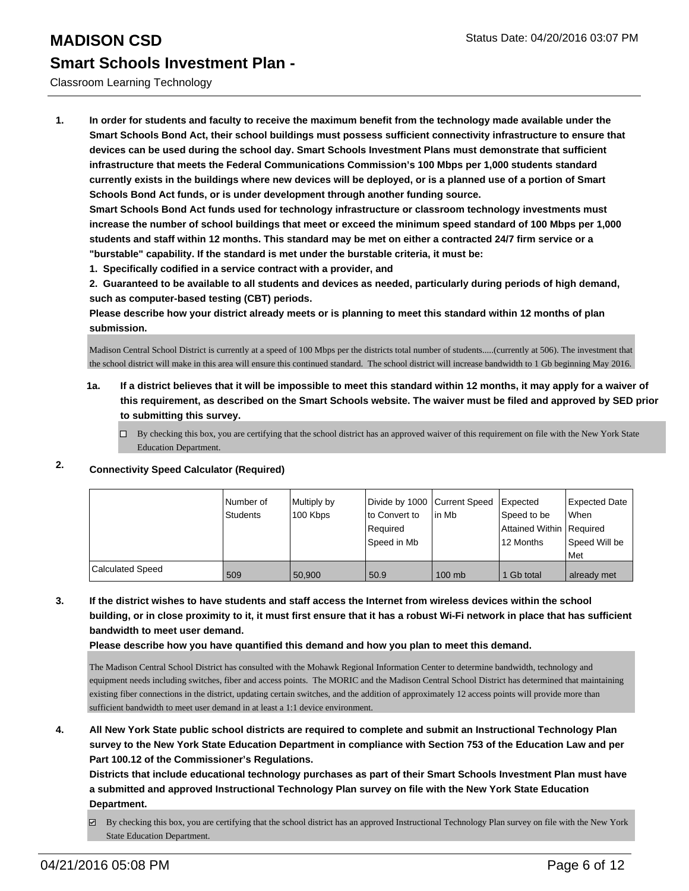#### Classroom Learning Technology

**1. In order for students and faculty to receive the maximum benefit from the technology made available under the Smart Schools Bond Act, their school buildings must possess sufficient connectivity infrastructure to ensure that devices can be used during the school day. Smart Schools Investment Plans must demonstrate that sufficient infrastructure that meets the Federal Communications Commission's 100 Mbps per 1,000 students standard currently exists in the buildings where new devices will be deployed, or is a planned use of a portion of Smart Schools Bond Act funds, or is under development through another funding source.**

**Smart Schools Bond Act funds used for technology infrastructure or classroom technology investments must increase the number of school buildings that meet or exceed the minimum speed standard of 100 Mbps per 1,000 students and staff within 12 months. This standard may be met on either a contracted 24/7 firm service or a "burstable" capability. If the standard is met under the burstable criteria, it must be:**

**1. Specifically codified in a service contract with a provider, and**

**2. Guaranteed to be available to all students and devices as needed, particularly during periods of high demand, such as computer-based testing (CBT) periods.**

**Please describe how your district already meets or is planning to meet this standard within 12 months of plan submission.**

Madison Central School District is currently at a speed of 100 Mbps per the districts total number of students.....(currently at 506). The investment that the school district will make in this area will ensure this continued standard. The school district will increase bandwidth to 1 Gb beginning May 2016.

- **1a. If a district believes that it will be impossible to meet this standard within 12 months, it may apply for a waiver of this requirement, as described on the Smart Schools website. The waiver must be filed and approved by SED prior to submitting this survey.**
	- $\Box$  By checking this box, you are certifying that the school district has an approved waiver of this requirement on file with the New York State Education Department.

## **2. Connectivity Speed Calculator (Required)**

|                         | Number of<br>Students | Multiply by<br>100 Kbps | to Convert to<br>Required<br>Speed in Mb | Divide by 1000 Current Speed Expected<br>l in Mb | Speed to be<br>Attained Within   Required<br>12 Months | Expected Date<br><b>When</b><br>Speed Will be<br>l Met |
|-------------------------|-----------------------|-------------------------|------------------------------------------|--------------------------------------------------|--------------------------------------------------------|--------------------------------------------------------|
| <b>Calculated Speed</b> | 509                   | 50,900                  | 50.9                                     | $100$ mb                                         | 1 Gb total                                             | already met                                            |

### **3. If the district wishes to have students and staff access the Internet from wireless devices within the school building, or in close proximity to it, it must first ensure that it has a robust Wi-Fi network in place that has sufficient bandwidth to meet user demand.**

**Please describe how you have quantified this demand and how you plan to meet this demand.**

The Madison Central School District has consulted with the Mohawk Regional Information Center to determine bandwidth, technology and equipment needs including switches, fiber and access points. The MORIC and the Madison Central School District has determined that maintaining existing fiber connections in the district, updating certain switches, and the addition of approximately 12 access points will provide more than sufficient bandwidth to meet user demand in at least a 1:1 device environment.

**4. All New York State public school districts are required to complete and submit an Instructional Technology Plan survey to the New York State Education Department in compliance with Section 753 of the Education Law and per Part 100.12 of the Commissioner's Regulations.**

**Districts that include educational technology purchases as part of their Smart Schools Investment Plan must have a submitted and approved Instructional Technology Plan survey on file with the New York State Education Department.**

By checking this box, you are certifying that the school district has an approved Instructional Technology Plan survey on file with the New York State Education Department.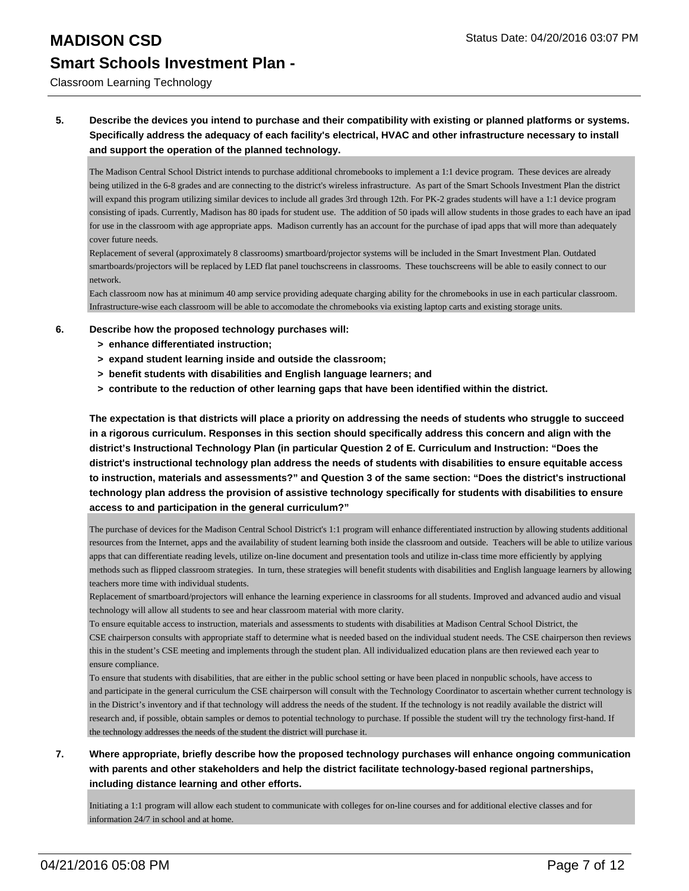Classroom Learning Technology

### **5. Describe the devices you intend to purchase and their compatibility with existing or planned platforms or systems. Specifically address the adequacy of each facility's electrical, HVAC and other infrastructure necessary to install and support the operation of the planned technology.**

The Madison Central School District intends to purchase additional chromebooks to implement a 1:1 device program. These devices are already being utilized in the 6-8 grades and are connecting to the district's wireless infrastructure. As part of the Smart Schools Investment Plan the district will expand this program utilizing similar devices to include all grades 3rd through 12th. For PK-2 grades students will have a 1:1 device program consisting of ipads. Currently, Madison has 80 ipads for student use. The addition of 50 ipads will allow students in those grades to each have an ipad for use in the classroom with age appropriate apps. Madison currently has an account for the purchase of ipad apps that will more than adequately cover future needs.

Replacement of several (approximately 8 classrooms) smartboard/projector systems will be included in the Smart Investment Plan. Outdated smartboards/projectors will be replaced by LED flat panel touchscreens in classrooms. These touchscreens will be able to easily connect to our network.

Each classroom now has at minimum 40 amp service providing adequate charging ability for the chromebooks in use in each particular classroom. Infrastructure-wise each classroom will be able to accomodate the chromebooks via existing laptop carts and existing storage units.

#### **6. Describe how the proposed technology purchases will:**

- **> enhance differentiated instruction;**
- **> expand student learning inside and outside the classroom;**
- **> benefit students with disabilities and English language learners; and**
- **> contribute to the reduction of other learning gaps that have been identified within the district.**

**The expectation is that districts will place a priority on addressing the needs of students who struggle to succeed in a rigorous curriculum. Responses in this section should specifically address this concern and align with the district's Instructional Technology Plan (in particular Question 2 of E. Curriculum and Instruction: "Does the district's instructional technology plan address the needs of students with disabilities to ensure equitable access to instruction, materials and assessments?" and Question 3 of the same section: "Does the district's instructional technology plan address the provision of assistive technology specifically for students with disabilities to ensure access to and participation in the general curriculum?"**

The purchase of devices for the Madison Central School District's 1:1 program will enhance differentiated instruction by allowing students additional resources from the Internet, apps and the availability of student learning both inside the classroom and outside. Teachers will be able to utilize various apps that can differentiate reading levels, utilize on-line document and presentation tools and utilize in-class time more efficiently by applying methods such as flipped classroom strategies. In turn, these strategies will benefit students with disabilities and English language learners by allowing teachers more time with individual students.

Replacement of smartboard/projectors will enhance the learning experience in classrooms for all students. Improved and advanced audio and visual technology will allow all students to see and hear classroom material with more clarity.

To ensure equitable access to instruction, materials and assessments to students with disabilities at Madison Central School District, the CSE chairperson consults with appropriate staff to determine what is needed based on the individual student needs. The CSE chairperson then reviews this in the student's CSE meeting and implements through the student plan. All individualized education plans are then reviewed each year to ensure compliance.

To ensure that students with disabilities, that are either in the public school setting or have been placed in nonpublic schools, have access to and participate in the general curriculum the CSE chairperson will consult with the Technology Coordinator to ascertain whether current technology is in the District's inventory and if that technology will address the needs of the student. If the technology is not readily available the district will research and, if possible, obtain samples or demos to potential technology to purchase. If possible the student will try the technology first-hand. If the technology addresses the needs of the student the district will purchase it.

### **7. Where appropriate, briefly describe how the proposed technology purchases will enhance ongoing communication with parents and other stakeholders and help the district facilitate technology-based regional partnerships, including distance learning and other efforts.**

Initiating a 1:1 program will allow each student to communicate with colleges for on-line courses and for additional elective classes and for information 24/7 in school and at home.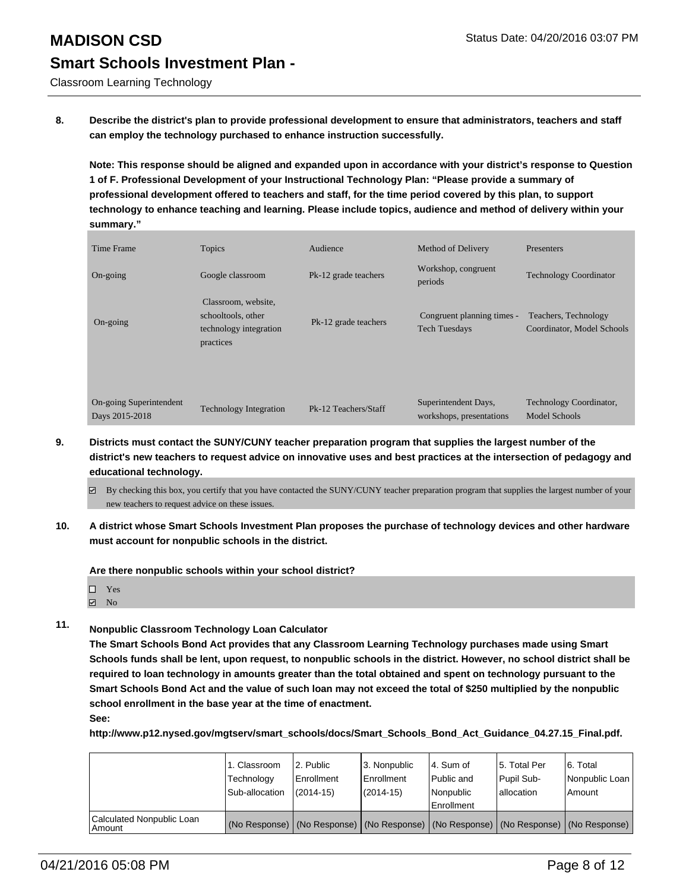Classroom Learning Technology

**8. Describe the district's plan to provide professional development to ensure that administrators, teachers and staff can employ the technology purchased to enhance instruction successfully.**

**Note: This response should be aligned and expanded upon in accordance with your district's response to Question 1 of F. Professional Development of your Instructional Technology Plan: "Please provide a summary of professional development offered to teachers and staff, for the time period covered by this plan, to support technology to enhance teaching and learning. Please include topics, audience and method of delivery within your summary."**

| Time Frame                                | Topics                                                                           | Audience             | Method of Delivery                                 | Presenters                                         |
|-------------------------------------------|----------------------------------------------------------------------------------|----------------------|----------------------------------------------------|----------------------------------------------------|
| On-going                                  | Google classroom                                                                 | Pk-12 grade teachers | Workshop, congruent<br>periods                     | <b>Technology Coordinator</b>                      |
| On-going                                  | Classroom, website,<br>schooltools, other<br>technology integration<br>practices | Pk-12 grade teachers | Congruent planning times -<br><b>Tech Tuesdays</b> | Teachers, Technology<br>Coordinator, Model Schools |
| On-going Superintendent<br>Days 2015-2018 | <b>Technology Integration</b>                                                    | Pk-12 Teachers/Staff | Superintendent Days,<br>workshops, presentations   | Technology Coordinator,<br>Model Schools           |

- **9. Districts must contact the SUNY/CUNY teacher preparation program that supplies the largest number of the district's new teachers to request advice on innovative uses and best practices at the intersection of pedagogy and educational technology.**
	- $\boxtimes$  By checking this box, you certify that you have contacted the SUNY/CUNY teacher preparation program that supplies the largest number of your new teachers to request advice on these issues.
- **10. A district whose Smart Schools Investment Plan proposes the purchase of technology devices and other hardware must account for nonpublic schools in the district.**

**Are there nonpublic schools within your school district?**

| П | Yes |  |
|---|-----|--|
|   |     |  |

- $\blacksquare$  No
- **11. Nonpublic Classroom Technology Loan Calculator**

**The Smart Schools Bond Act provides that any Classroom Learning Technology purchases made using Smart Schools funds shall be lent, upon request, to nonpublic schools in the district. However, no school district shall be required to loan technology in amounts greater than the total obtained and spent on technology pursuant to the Smart Schools Bond Act and the value of such loan may not exceed the total of \$250 multiplied by the nonpublic school enrollment in the base year at the time of enactment.**

**See:**

**http://www.p12.nysed.gov/mgtserv/smart\_schools/docs/Smart\_Schools\_Bond\_Act\_Guidance\_04.27.15\_Final.pdf.**

|                                         | 1. Classroom<br>Technology<br>Sub-allocation | 12. Public<br>Enrollment<br>$(2014 - 15)$ | 3. Nonpublic<br>Enrollment<br>$(2014 - 15)$ | l 4. Sum of<br>Public and<br>l Nonpublic<br>Enrollment | 5. Total Per<br>Pupil Sub-<br>Iallocation                                                     | 6. Total<br>Nonpublic Loan<br>Amount |
|-----------------------------------------|----------------------------------------------|-------------------------------------------|---------------------------------------------|--------------------------------------------------------|-----------------------------------------------------------------------------------------------|--------------------------------------|
| Calculated Nonpublic Loan<br>l Amount i |                                              |                                           |                                             |                                                        | (No Response)   (No Response)   (No Response)   (No Response)   (No Response)   (No Response) |                                      |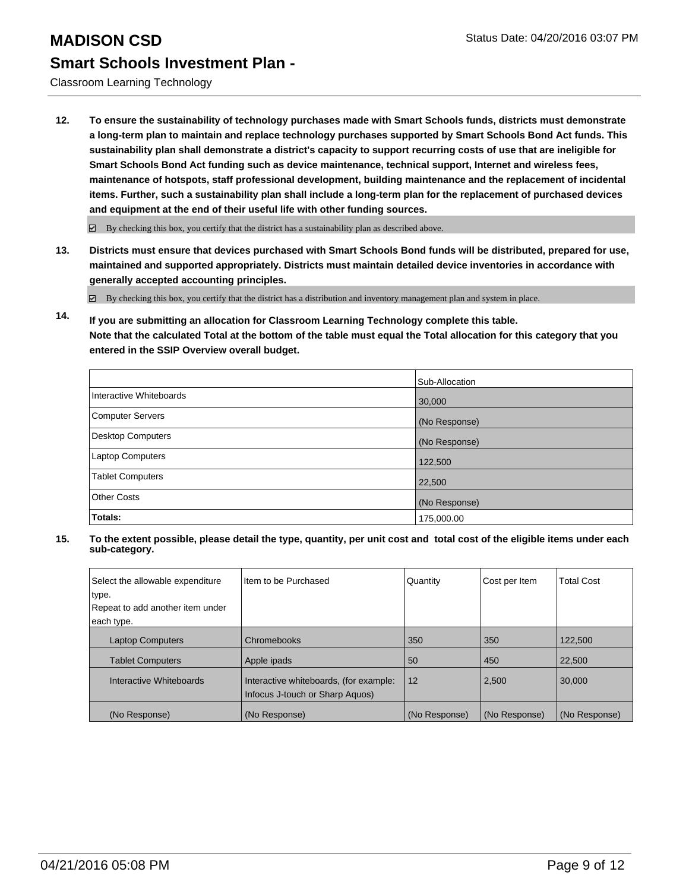Classroom Learning Technology

**12. To ensure the sustainability of technology purchases made with Smart Schools funds, districts must demonstrate a long-term plan to maintain and replace technology purchases supported by Smart Schools Bond Act funds. This sustainability plan shall demonstrate a district's capacity to support recurring costs of use that are ineligible for Smart Schools Bond Act funding such as device maintenance, technical support, Internet and wireless fees, maintenance of hotspots, staff professional development, building maintenance and the replacement of incidental items. Further, such a sustainability plan shall include a long-term plan for the replacement of purchased devices and equipment at the end of their useful life with other funding sources.**

 $\boxdot$  By checking this box, you certify that the district has a sustainability plan as described above.

**13. Districts must ensure that devices purchased with Smart Schools Bond funds will be distributed, prepared for use, maintained and supported appropriately. Districts must maintain detailed device inventories in accordance with generally accepted accounting principles.**

By checking this box, you certify that the district has a distribution and inventory management plan and system in place.

**14. If you are submitting an allocation for Classroom Learning Technology complete this table. Note that the calculated Total at the bottom of the table must equal the Total allocation for this category that you entered in the SSIP Overview overall budget.**

|                          | Sub-Allocation |
|--------------------------|----------------|
| Interactive Whiteboards  | 30,000         |
| <b>Computer Servers</b>  | (No Response)  |
| <b>Desktop Computers</b> | (No Response)  |
| Laptop Computers         | 122,500        |
| <b>Tablet Computers</b>  | 22,500         |
| <b>Other Costs</b>       | (No Response)  |
| Totals:                  | 175,000.00     |

| Select the allowable expenditure<br>type.<br>Repeat to add another item under<br>each type. | Item to be Purchased                                                      | Quantity      | Cost per Item | <b>Total Cost</b> |
|---------------------------------------------------------------------------------------------|---------------------------------------------------------------------------|---------------|---------------|-------------------|
| <b>Laptop Computers</b>                                                                     | Chromebooks                                                               | 350           | 350           | 122,500           |
|                                                                                             |                                                                           |               |               |                   |
| <b>Tablet Computers</b>                                                                     | Apple ipads                                                               | 50            | 450           | 22,500            |
| Interactive Whiteboards                                                                     | Interactive whiteboards, (for example:<br>Infocus J-touch or Sharp Aguos) | 12            | 2,500         | 30,000            |
| (No Response)                                                                               | (No Response)                                                             | (No Response) | (No Response) | (No Response)     |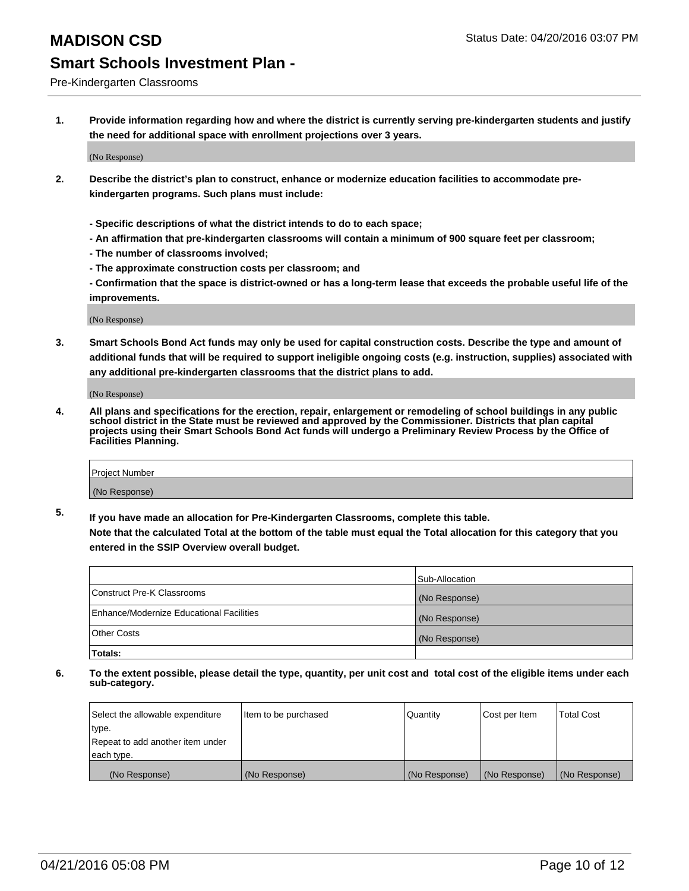Pre-Kindergarten Classrooms

**1. Provide information regarding how and where the district is currently serving pre-kindergarten students and justify the need for additional space with enrollment projections over 3 years.**

(No Response)

- **2. Describe the district's plan to construct, enhance or modernize education facilities to accommodate prekindergarten programs. Such plans must include:**
	- **Specific descriptions of what the district intends to do to each space;**
	- **An affirmation that pre-kindergarten classrooms will contain a minimum of 900 square feet per classroom;**
	- **The number of classrooms involved;**
	- **The approximate construction costs per classroom; and**
	- **Confirmation that the space is district-owned or has a long-term lease that exceeds the probable useful life of the improvements.**

(No Response)

**3. Smart Schools Bond Act funds may only be used for capital construction costs. Describe the type and amount of additional funds that will be required to support ineligible ongoing costs (e.g. instruction, supplies) associated with any additional pre-kindergarten classrooms that the district plans to add.**

(No Response)

**4. All plans and specifications for the erection, repair, enlargement or remodeling of school buildings in any public school district in the State must be reviewed and approved by the Commissioner. Districts that plan capital projects using their Smart Schools Bond Act funds will undergo a Preliminary Review Process by the Office of Facilities Planning.**

| Project Number |  |
|----------------|--|
| (No Response)  |  |

**5. If you have made an allocation for Pre-Kindergarten Classrooms, complete this table. Note that the calculated Total at the bottom of the table must equal the Total allocation for this category that you**

**entered in the SSIP Overview overall budget.**

|                                          | Sub-Allocation |
|------------------------------------------|----------------|
| Construct Pre-K Classrooms               | (No Response)  |
| Enhance/Modernize Educational Facilities | (No Response)  |
| Other Costs                              | (No Response)  |
| Totals:                                  |                |

| Select the allowable expenditure | Item to be purchased | Quantity      | Cost per Item | <b>Total Cost</b> |
|----------------------------------|----------------------|---------------|---------------|-------------------|
| type.                            |                      |               |               |                   |
| Repeat to add another item under |                      |               |               |                   |
| each type.                       |                      |               |               |                   |
| (No Response)                    | (No Response)        | (No Response) | (No Response) | (No Response)     |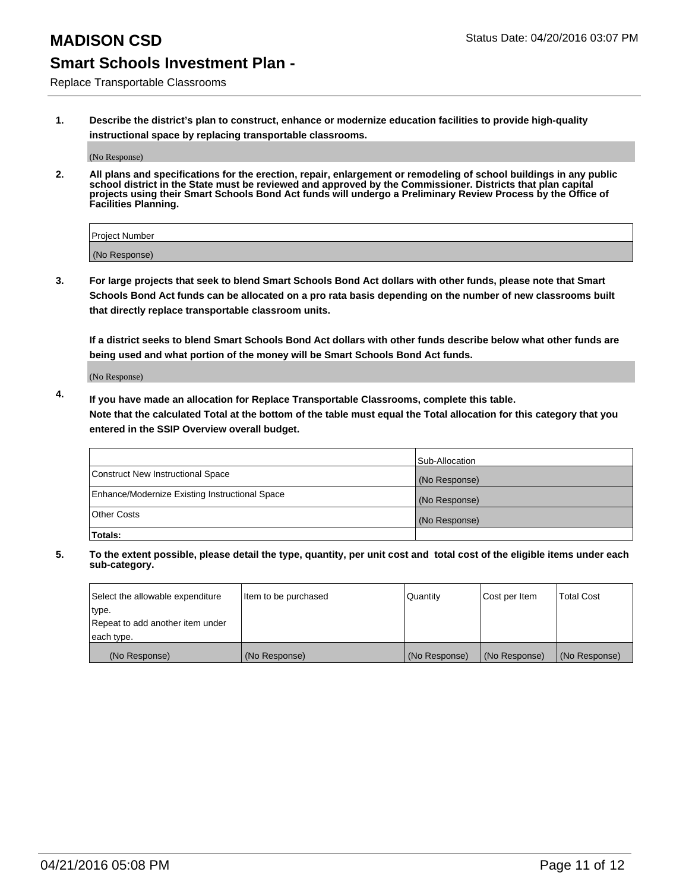Replace Transportable Classrooms

**1. Describe the district's plan to construct, enhance or modernize education facilities to provide high-quality instructional space by replacing transportable classrooms.**

(No Response)

**2. All plans and specifications for the erection, repair, enlargement or remodeling of school buildings in any public school district in the State must be reviewed and approved by the Commissioner. Districts that plan capital projects using their Smart Schools Bond Act funds will undergo a Preliminary Review Process by the Office of Facilities Planning.**

| Project Number |  |
|----------------|--|
| (No Response)  |  |

**3. For large projects that seek to blend Smart Schools Bond Act dollars with other funds, please note that Smart Schools Bond Act funds can be allocated on a pro rata basis depending on the number of new classrooms built that directly replace transportable classroom units.**

**If a district seeks to blend Smart Schools Bond Act dollars with other funds describe below what other funds are being used and what portion of the money will be Smart Schools Bond Act funds.**

(No Response)

**4. If you have made an allocation for Replace Transportable Classrooms, complete this table. Note that the calculated Total at the bottom of the table must equal the Total allocation for this category that you entered in the SSIP Overview overall budget.**

|                                                | Sub-Allocation |
|------------------------------------------------|----------------|
| Construct New Instructional Space              | (No Response)  |
| Enhance/Modernize Existing Instructional Space | (No Response)  |
| <b>Other Costs</b>                             | (No Response)  |
| Totals:                                        |                |

| Select the allowable expenditure | Item to be purchased | Quantity      | Cost per Item | <b>Total Cost</b> |
|----------------------------------|----------------------|---------------|---------------|-------------------|
| type.                            |                      |               |               |                   |
| Repeat to add another item under |                      |               |               |                   |
| each type.                       |                      |               |               |                   |
| (No Response)                    | (No Response)        | (No Response) | (No Response) | (No Response)     |